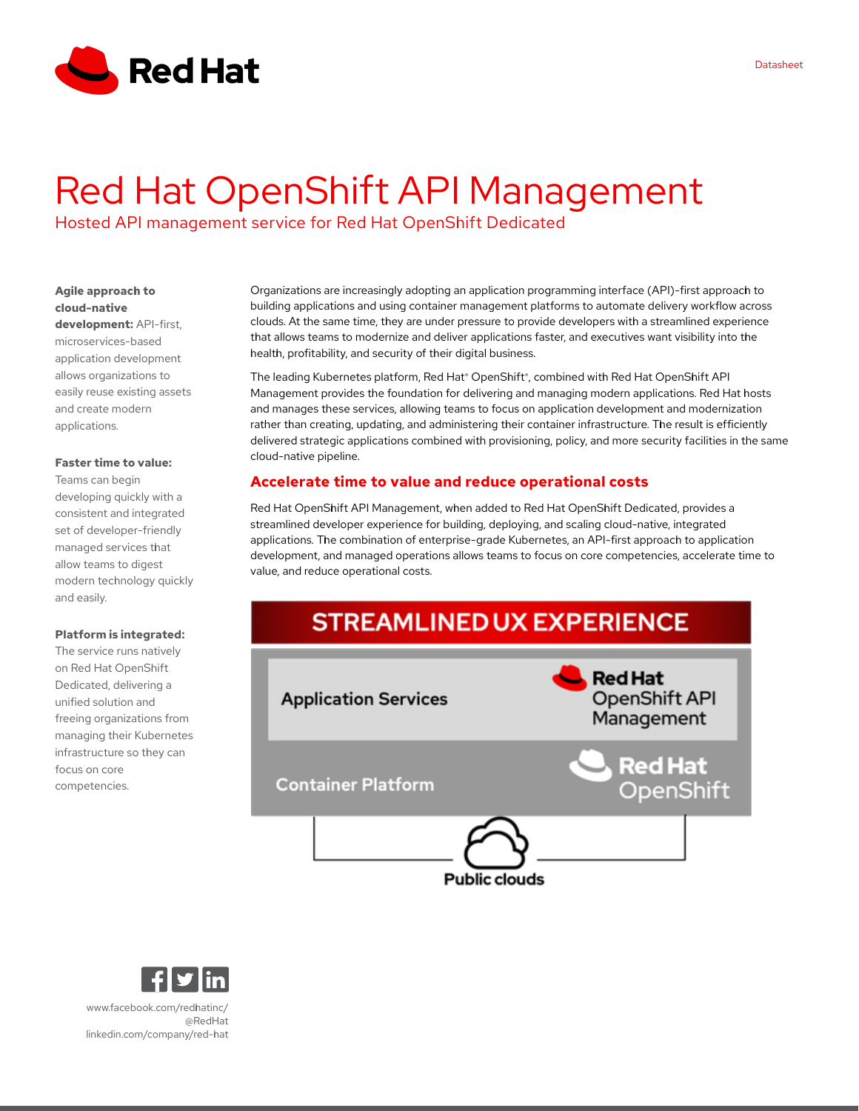

# Red Hat OpenShift API Management

Hosted API management service for Red Hat OpenShift Dedicated

# **Agile approach to cloud-native**

**development:** API-first, microservices-based application development allows organizations to easily reuse existing assets and create modern applications.

#### **Faster time to value:**

Teams can begin developing quickly with a consistent and integrated set of developer-friendly managed services that allow teams to digest modern technology quickly and easily.

#### **Platform is integrated:**

The service runs natively on Red Hat OpenShift Dedicated, delivering a unified solution and freeing organizations from managing their Kubernetes infrastructure so they can focus on core competencies.

Organizations are increasingly adopting an application programming interface (API)-first approach to building applications and using container management platforms to automate delivery workflow across clouds. At the same time, they are under pressure to provide developers with a streamlined experience that allows teams to modernize and deliver applications faster, and executives want visibility into the health, profitability, and security of their digital business.

The leading Kubernetes platform, Red Hat® OpenShift®, combined with Red Hat OpenShift API Management provides the foundation for delivering and managing modern applications. Red Hat hosts and manages these services, allowing teams to focus on application development and modernization rather than creating, updating, and administering their container infrastructure. The result is efficiently delivered strategic applications combined with provisioning, policy, and more security facilities in the same cloud-native pipeline.

# **Accelerate time to value and reduce operational costs**

Red Hat OpenShift API Management, when added to Red Hat OpenShift Dedicated, provides a streamlined developer experience for building, deploying, and scaling cloud-native, integrated applications. The combination of enterprise-grade Kubernetes, an API-first approach to application development, and managed operations allows teams to focus on core competencies, accelerate time to value, and reduce operational costs.





[www.facebook.com/redhatinc/](https://www.www.facebook.com/redhatinc/) [@RedHat](https://www.twitter.com/RedHat) [linkedin.com/company/red-hat](https://www.linkedin.com/company/red-hat)